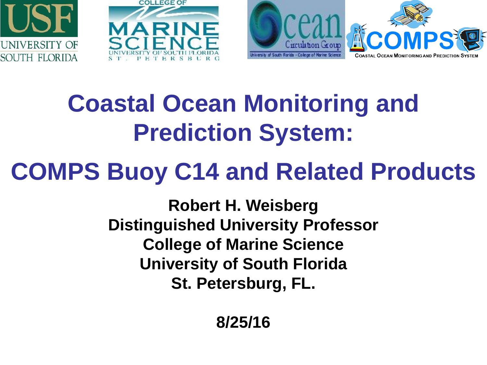





# **Coastal Ocean Monitoring and Prediction System:**

## **COMPS Buoy C14 and Related Products**

**Robert H. Weisberg Distinguished University Professor College of Marine Science University of South Florida St. Petersburg, FL.**

**8/25/16**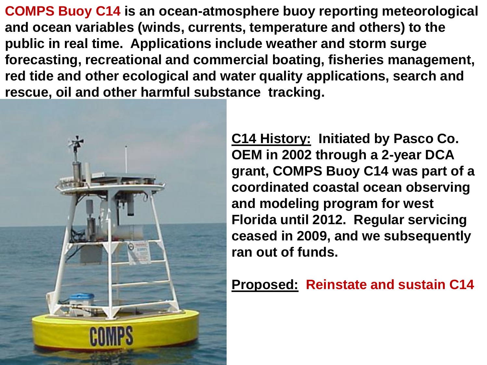**COMPS Buoy C14 is an ocean-atmosphere buoy reporting meteorological and ocean variables (winds, currents, temperature and others) to the public in real time. Applications include weather and storm surge forecasting, recreational and commercial boating, fisheries management, red tide and other ecological and water quality applications, search and rescue, oil and other harmful substance tracking.**



**C14 History: Initiated by Pasco Co. OEM in 2002 through a 2-year DCA grant, COMPS Buoy C14 was part of a coordinated coastal ocean observing and modeling program for west Florida until 2012. Regular servicing ceased in 2009, and we subsequently ran out of funds.** 

**Proposed: Reinstate and sustain C14**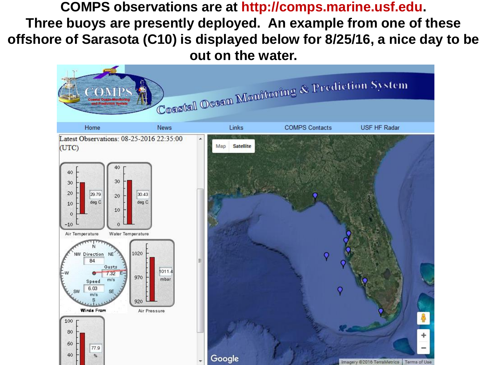**COMPS observations are at http://comps.marine.usf.edu. Three buoys are presently deployed. An example from one of these offshore of Sarasota (C10) is displayed below for 8/25/16, a nice day to be out on the water.** 

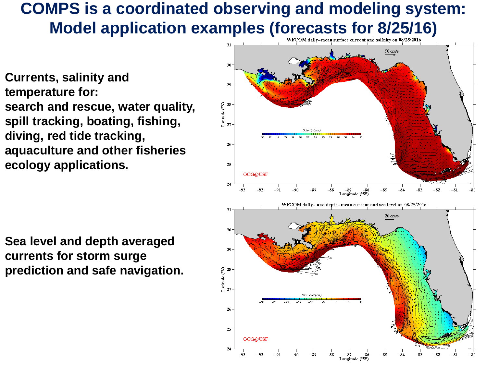### **COMPS is a coordinated observing and modeling system:**  Model application examples (forecasts for 8/25/16)

**Currents, salinity and temperature for: search and rescue, water quality, spill tracking, boating, fishing, diving, red tide tracking, aquaculture and other fisheries ecology applications.** 

**Sea level and depth averaged currents for storm surge prediction and safe navigation.**

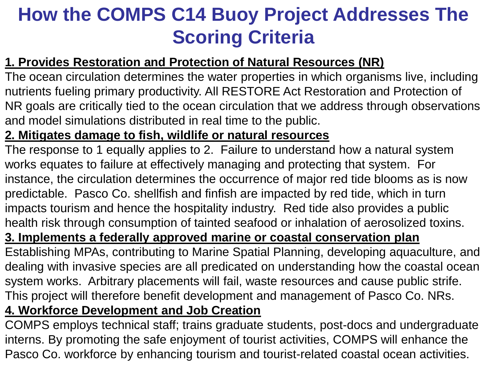### **How the COMPS C14 Buoy Project Addresses The Scoring Criteria**

#### **1. Provides Restoration and Protection of Natural Resources (NR)**

The ocean circulation determines the water properties in which organisms live, including nutrients fueling primary productivity. All RESTORE Act Restoration and Protection of NR goals are critically tied to the ocean circulation that we address through observations and model simulations distributed in real time to the public.

#### **2. Mitigates damage to fish, wildlife or natural resources**

The response to 1 equally applies to 2. Failure to understand how a natural system works equates to failure at effectively managing and protecting that system. For instance, the circulation determines the occurrence of major red tide blooms as is now predictable. Pasco Co. shellfish and finfish are impacted by red tide, which in turn impacts tourism and hence the hospitality industry. Red tide also provides a public health risk through consumption of tainted seafood or inhalation of aerosolized toxins.

#### **3. Implements a federally approved marine or coastal conservation plan**

Establishing MPAs, contributing to Marine Spatial Planning, developing aquaculture, and dealing with invasive species are all predicated on understanding how the coastal ocean system works. Arbitrary placements will fail, waste resources and cause public strife. This project will therefore benefit development and management of Pasco Co. NRs.

#### **4. Workforce Development and Job Creation**

COMPS employs technical staff; trains graduate students, post-docs and undergraduate interns. By promoting the safe enjoyment of tourist activities, COMPS will enhance the Pasco Co. workforce by enhancing tourism and tourist-related coastal ocean activities.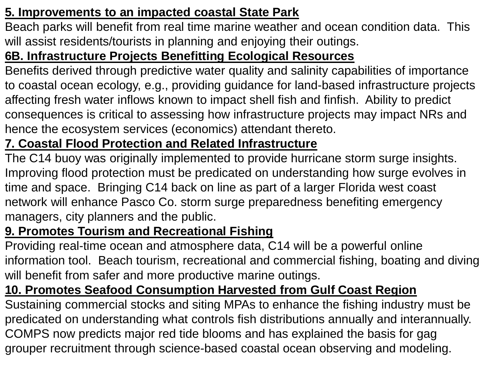#### **5. Improvements to an impacted coastal State Park**

Beach parks will benefit from real time marine weather and ocean condition data. This will assist residents/tourists in planning and enjoying their outings.

#### **6B. Infrastructure Projects Benefitting Ecological Resources**

Benefits derived through predictive water quality and salinity capabilities of importance to coastal ocean ecology, e.g., providing guidance for land-based infrastructure projects affecting fresh water inflows known to impact shell fish and finfish. Ability to predict consequences is critical to assessing how infrastructure projects may impact NRs and hence the ecosystem services (economics) attendant thereto.

#### **7. Coastal Flood Protection and Related Infrastructure**

The C14 buoy was originally implemented to provide hurricane storm surge insights. Improving flood protection must be predicated on understanding how surge evolves in time and space. Bringing C14 back on line as part of a larger Florida west coast network will enhance Pasco Co. storm surge preparedness benefiting emergency managers, city planners and the public.

#### **9. Promotes Tourism and Recreational Fishing**

Providing real-time ocean and atmosphere data, C14 will be a powerful online information tool. Beach tourism, recreational and commercial fishing, boating and diving will benefit from safer and more productive marine outings.

#### **10. Promotes Seafood Consumption Harvested from Gulf Coast Region**

Sustaining commercial stocks and siting MPAs to enhance the fishing industry must be predicated on understanding what controls fish distributions annually and interannually. COMPS now predicts major red tide blooms and has explained the basis for gag grouper recruitment through science-based coastal ocean observing and modeling.